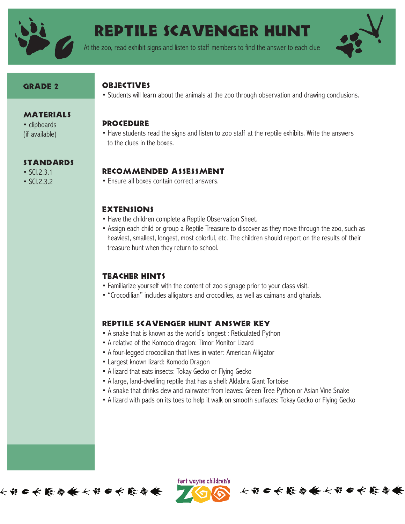

# REPTILE SCAVENGER HUNT

At the zoo, read exhibit signs and listen to staff members to find the answer to each clue



## GRADE 2

**MATERIALS** • clipboards (if available)

standards

• SCI.2.3.1 • SCI.2.3.2

# **OBJECTIVES**

• Students will learn about the animals at the zoo through observation and drawing conclusions.

### **PROCEDURE**

• Have students read the signs and listen to zoo staff at the reptile exhibits. Write the answers to the clues in the boxes.

# Recommended Assessment

• Ensure all boxes contain correct answers.

### **EXTENSIONS**

- Have the children complete a Reptile Observation Sheet.
- Assign each child or group a Reptile Treasure to discover as they move through the zoo, such as heaviest, smallest, longest, most colorful, etc. The children should report on the results of their treasure hunt when they return to school.

# Teacher Hints

- Familiarize yourself with the content of zoo signage prior to your class visit.
- "Crocodilian" includes alligators and crocodiles, as well as caimans and gharials.

# Reptile Scavenger Hunt Answer Key

- A snake that is known as the world's longest : Reticulated Python
- A relative of the Komodo dragon: Timor Monitor Lizard
- A four-legged crocodilian that lives in water: American Alligator
- Largest known lizard: Komodo Dragon
- A lizard that eats insects: Tokay Gecko or Flying Gecko
- A large, land-dwelling reptile that has a shell: Aldabra Giant Tortoise
- A snake that drinks dew and rainwater from leaves: Green Tree Python or Asian Vine Snake
- A lizard with pads on its toes to help it walk on smooth surfaces: Tokay Gecko or Flying Gecko

长节口长能会长长节口长能会